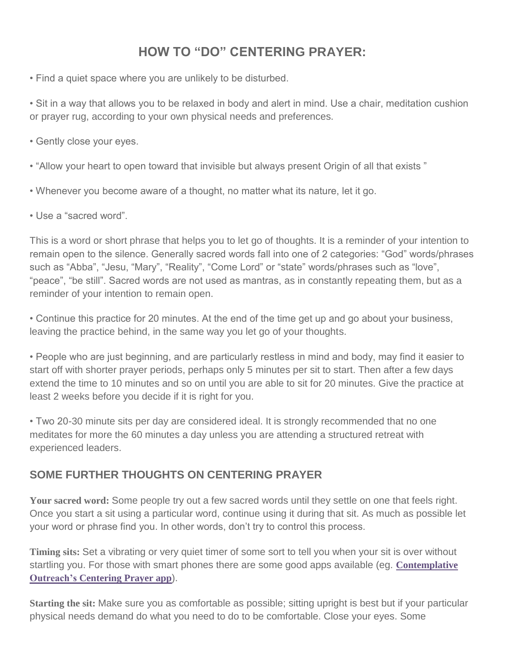## **HOW TO "DO" CENTERING PRAYER:**

• Find a quiet space where you are unlikely to be disturbed.

• Sit in a way that allows you to be relaxed in body and alert in mind. Use a chair, meditation cushion or prayer rug, according to your own physical needs and preferences.

- Gently close your eyes.
- "Allow your heart to open toward that invisible but always present Origin of all that exists "
- Whenever you become aware of a thought, no matter what its nature, let it go.
- Use a "sacred word".

This is a word or short phrase that helps you to let go of thoughts. It is a reminder of your intention to remain open to the silence. Generally sacred words fall into one of 2 categories: "God" words/phrases such as "Abba", "Jesu, "Mary", "Reality", "Come Lord" or "state" words/phrases such as "love", "peace", "be still". Sacred words are not used as mantras, as in constantly repeating them, but as a reminder of your intention to remain open.

• Continue this practice for 20 minutes. At the end of the time get up and go about your business, leaving the practice behind, in the same way you let go of your thoughts.

• People who are just beginning, and are particularly restless in mind and body, may find it easier to start off with shorter prayer periods, perhaps only 5 minutes per sit to start. Then after a few days extend the time to 10 minutes and so on until you are able to sit for 20 minutes. Give the practice at least 2 weeks before you decide if it is right for you.

• Two 20-30 minute sits per day are considered ideal. It is strongly recommended that no one meditates for more the 60 minutes a day unless you are attending a structured retreat with experienced leaders.

## **SOME FURTHER THOUGHTS ON CENTERING PRAYER**

**Your sacred word:** Some people try out a few sacred words until they settle on one that feels right. Once you start a sit using a particular word, continue using it during that sit. As much as possible let your word or phrase find you. In other words, don't try to control this process.

**Timing sits:** Set a vibrating or very quiet timer of some sort to tell you when your sit is over without startling you. For those with smart phones there are some good apps available (eg. **[Contemplative](http://www.contemplativeoutreach.org/centering-prayer-mobile-app) [Outreach's](http://www.contemplativeoutreach.org/centering-prayer-mobile-app) Centering Prayer app**).

**Starting the sit:** Make sure you as comfortable as possible; sitting upright is best but if your particular physical needs demand do what you need to do to be comfortable. Close your eyes. Some